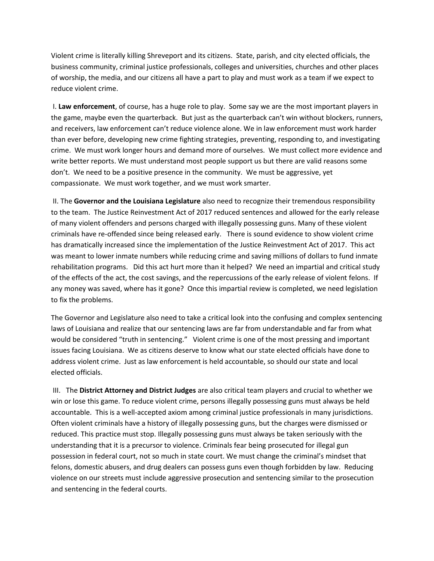Violent crime is literally killing Shreveport and its citizens. State, parish, and city elected officials, the business community, criminal justice professionals, colleges and universities, churches and other places of worship, the media, and our citizens all have a part to play and must work as a team if we expect to reduce violent crime.

I. **Law enforcement**, of course, has a huge role to play. Some say we are the most important players in the game, maybe even the quarterback. But just as the quarterback can't win without blockers, runners, and receivers, law enforcement can't reduce violence alone. We in law enforcement must work harder than ever before, developing new crime fighting strategies, preventing, responding to, and investigating crime. We must work longer hours and demand more of ourselves. We must collect more evidence and write better reports. We must understand most people support us but there are valid reasons some don't. We need to be a positive presence in the community. We must be aggressive, yet compassionate. We must work together, and we must work smarter.

II. The **Governor and the Louisiana Legislature** also need to recognize their tremendous responsibility to the team. The Justice Reinvestment Act of 2017 reduced sentences and allowed for the early release of many violent offenders and persons charged with illegally possessing guns. Many of these violent criminals have re-offended since being released early. There is sound evidence to show violent crime has dramatically increased since the implementation of the Justice Reinvestment Act of 2017. This act was meant to lower inmate numbers while reducing crime and saving millions of dollars to fund inmate rehabilitation programs. Did this act hurt more than it helped? We need an impartial and critical study of the effects of the act, the cost savings, and the repercussions of the early release of violent felons. If any money was saved, where has it gone? Once this impartial review is completed, we need legislation to fix the problems.

The Governor and Legislature also need to take a critical look into the confusing and complex sentencing laws of Louisiana and realize that our sentencing laws are far from understandable and far from what would be considered "truth in sentencing." Violent crime is one of the most pressing and important issues facing Louisiana. We as citizens deserve to know what our state elected officials have done to address violent crime. Just as law enforcement is held accountable, so should our state and local elected officials.

III. The **District Attorney and District Judges** are also critical team players and crucial to whether we win or lose this game. To reduce violent crime, persons illegally possessing guns must always be held accountable. This is a well-accepted axiom among criminal justice professionals in many jurisdictions. Often violent criminals have a history of illegally possessing guns, but the charges were dismissed or reduced. This practice must stop. Illegally possessing guns must always be taken seriously with the understanding that it is a precursor to violence. Criminals fear being prosecuted for illegal gun possession in federal court, not so much in state court. We must change the criminal's mindset that felons, domestic abusers, and drug dealers can possess guns even though forbidden by law. Reducing violence on our streets must include aggressive prosecution and sentencing similar to the prosecution and sentencing in the federal courts.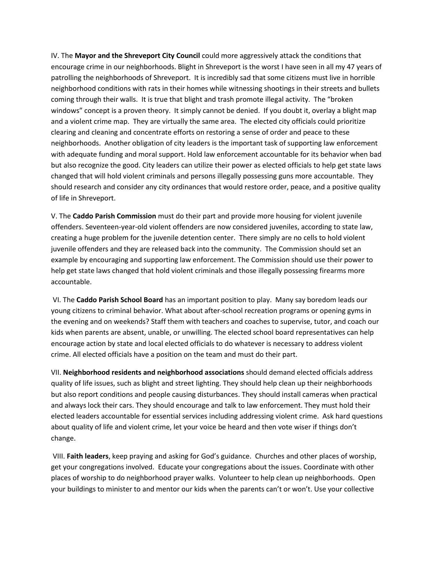IV. The **Mayor and the Shreveport City Council** could more aggressively attack the conditions that encourage crime in our neighborhoods. Blight in Shreveport is the worst I have seen in all my 47 years of patrolling the neighborhoods of Shreveport. It is incredibly sad that some citizens must live in horrible neighborhood conditions with rats in their homes while witnessing shootings in their streets and bullets coming through their walls. It is true that blight and trash promote illegal activity. The "broken windows" concept is a proven theory. It simply cannot be denied. If you doubt it, overlay a blight map and a violent crime map. They are virtually the same area. The elected city officials could prioritize clearing and cleaning and concentrate efforts on restoring a sense of order and peace to these neighborhoods. Another obligation of city leaders is the important task of supporting law enforcement with adequate funding and moral support. Hold law enforcement accountable for its behavior when bad but also recognize the good. City leaders can utilize their power as elected officials to help get state laws changed that will hold violent criminals and persons illegally possessing guns more accountable. They should research and consider any city ordinances that would restore order, peace, and a positive quality of life in Shreveport.

V. The **Caddo Parish Commission** must do their part and provide more housing for violent juvenile offenders. Seventeen-year-old violent offenders are now considered juveniles, according to state law, creating a huge problem for the juvenile detention center. There simply are no cells to hold violent juvenile offenders and they are released back into the community. The Commission should set an example by encouraging and supporting law enforcement. The Commission should use their power to help get state laws changed that hold violent criminals and those illegally possessing firearms more accountable.

VI. The **Caddo Parish School Board** has an important position to play. Many say boredom leads our young citizens to criminal behavior. What about after-school recreation programs or opening gyms in the evening and on weekends? Staff them with teachers and coaches to supervise, tutor, and coach our kids when parents are absent, unable, or unwilling. The elected school board representatives can help encourage action by state and local elected officials to do whatever is necessary to address violent crime. All elected officials have a position on the team and must do their part.

VII. **Neighborhood residents and neighborhood associations** should demand elected officials address quality of life issues, such as blight and street lighting. They should help clean up their neighborhoods but also report conditions and people causing disturbances. They should install cameras when practical and always lock their cars. They should encourage and talk to law enforcement. They must hold their elected leaders accountable for essential services including addressing violent crime. Ask hard questions about quality of life and violent crime, let your voice be heard and then vote wiser if things don't change.

VIII. **Faith leaders**, keep praying and asking for God's guidance. Churches and other places of worship, get your congregations involved. Educate your congregations about the issues. Coordinate with other places of worship to do neighborhood prayer walks. Volunteer to help clean up neighborhoods. Open your buildings to minister to and mentor our kids when the parents can't or won't. Use your collective